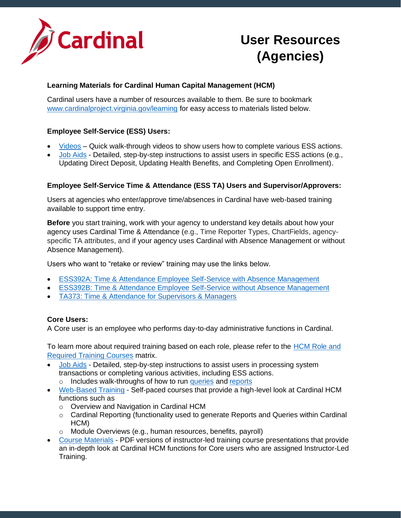

# **User Resources (Agencies)**

## **Learning Materials for Cardinal Human Capital Management (HCM)**

Cardinal users have a number of resources available to them. Be sure to bookmark [www.cardinalproject.virginia.gov/learning](http://www.cardinalproject.virginia.gov/learning) for easy access to materials listed below.

#### **Employee Self-Service (ESS) Users:**

- [Videos](http://www.cardinalproject.virginia.gov/videos) Quick walk-through videos to show users how to complete various ESS actions.
- [Job Aids](http://www.cardinalproject.virginia.gov/job-aids) Detailed, step-by-step instructions to assist users in specific ESS actions (e.g., Updating Direct Deposit, Updating Health Benefits, and Completing Open Enrollment).

### **Employee Self-Service Time & Attendance (ESS TA) Users and Supervisor/Approvers:**

Users at agencies who enter/approve time/absences in Cardinal have web-based training available to support time entry.

**Before** you start training, work with your agency to understand key details about how your agency uses Cardinal Time & Attendance (e.g., Time Reporter Types, ChartFields, agencyspecific TA attributes, and if your agency uses Cardinal with Absence Management or without Absence Management).

Users who want to "retake or review" training may use the links below.

- [ESS392A: Time & Attendance Employee Self-Service with Absence Management](https://www.cardinalproject.virginia.gov/wbt)
- [ESS392B: Time & Attendance Employee Self-Service without Absence Management](https://www.cardinalproject.virginia.gov/wbt)
- [TA373: Time & Attendance for Supervisors & Managers](https://www.cardinalproject.virginia.gov/wbt)

# **Core Users:**

A Core user is an employee who performs day-to-day administrative functions in Cardinal.

To learn more about required training based on each role, please refer to the [HCM Role and](https://www.cardinalproject.virginia.gov/sites/default/files/2021-09/HCM_Roles-to-Training_CourseMapping.pdf)  [Required Training Courses](https://www.cardinalproject.virginia.gov/sites/default/files/2021-09/HCM_Roles-to-Training_CourseMapping.pdf) matrix.

- [Job Aids](http://www.cardinalproject.virginia.gov/job-aids) Detailed, step-by-step instructions to assist users in processing system transactions or completing various activities, including ESS actions.
	- o Includes walk-throughs of how to run [queries](https://www.cardinalproject.virginia.gov/sites/default/files/2021-12/NAV225%20Running%20an%20HCM%20Query.pdf) an[d reports](https://www.cardinalproject.virginia.gov/sites/default/files/2021-12/NAV225%20Generating%20an%20HCM%20Report.pdf)
- [Web-Based Training](http://www.cardinalproject.virginia.gov/wbt) Self-paced courses that provide a high-level look at Cardinal HCM functions such as
	- o Overview and Navigation in Cardinal HCM
	- $\circ$  Cardinal Reporting (functionality used to generate Reports and Queries within Cardinal HCM)
	- o Module Overviews (e.g., human resources, benefits, payroll)
- [Course Materials](http://www.cardinalproject.virginia.gov/course-materials) PDF versions of instructor-led training course presentations that provide an in-depth look at Cardinal HCM functions for Core users who are assigned Instructor-Led Training.